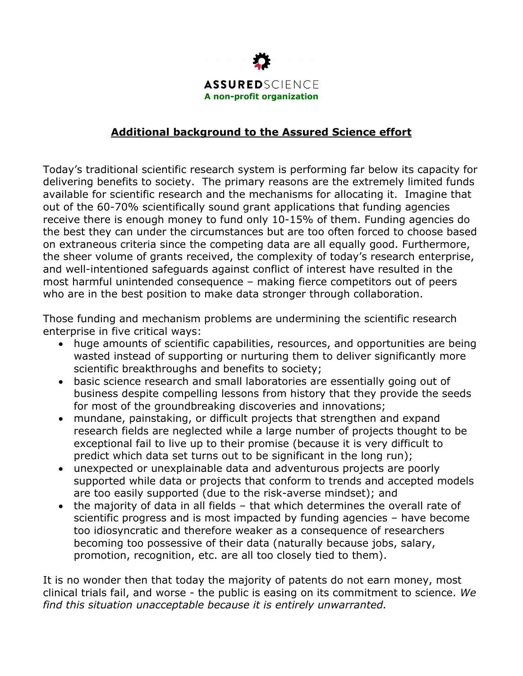

## **Additional background to the Assured Science effort**

Today's traditional scientific research system is performing far below its capacity for delivering benefits to society. The primary reasons are the extremely limited funds available for scientific research and the mechanisms for allocating it. Imagine that out of the 60-70% scientifically sound grant applications that funding agencies receive there is enough money to fund only 10-15% of them. Funding agencies do the best they can under the circumstances but are too often forced to choose based on extraneous criteria since the competing data are all equally good. Furthermore, the sheer volume of grants received, the complexity of today's research enterprise, and well-intentioned safeguards against conflict of interest have resulted in the most harmful unintended consequence – making fierce competitors out of peers who are in the best position to make data stronger through collaboration.

Those funding and mechanism problems are undermining the scientific research enterprise in five critical ways:

- huge amounts of scientific capabilities, resources, and opportunities are being wasted instead of supporting or nurturing them to deliver significantly more scientific breakthroughs and benefits to society;
- basic science research and small laboratories are essentially going out of business despite compelling lessons from history that they provide the seeds for most of the groundbreaking discoveries and innovations;
- mundane, painstaking, or difficult projects that strengthen and expand research fields are neglected while a large number of projects thought to be exceptional fail to live up to their promise (because it is very difficult to predict which data set turns out to be significant in the long run);
- unexpected or unexplainable data and adventurous projects are poorly supported while data or projects that conform to trends and accepted models are too easily supported (due to the risk-averse mindset); and
- the majority of data in all fields that which determines the overall rate of scientific progress and is most impacted by funding agencies – have become too idiosyncratic and therefore weaker as a consequence of researchers becoming too possessive of their data (naturally because jobs, salary, promotion, recognition, etc. are all too closely tied to them).

It is no wonder then that today the majority of patents do not earn money, most clinical trials fail, and worse - the public is easing on its commitment to science. *We find this situation unacceptable because it is entirely unwarranted.*